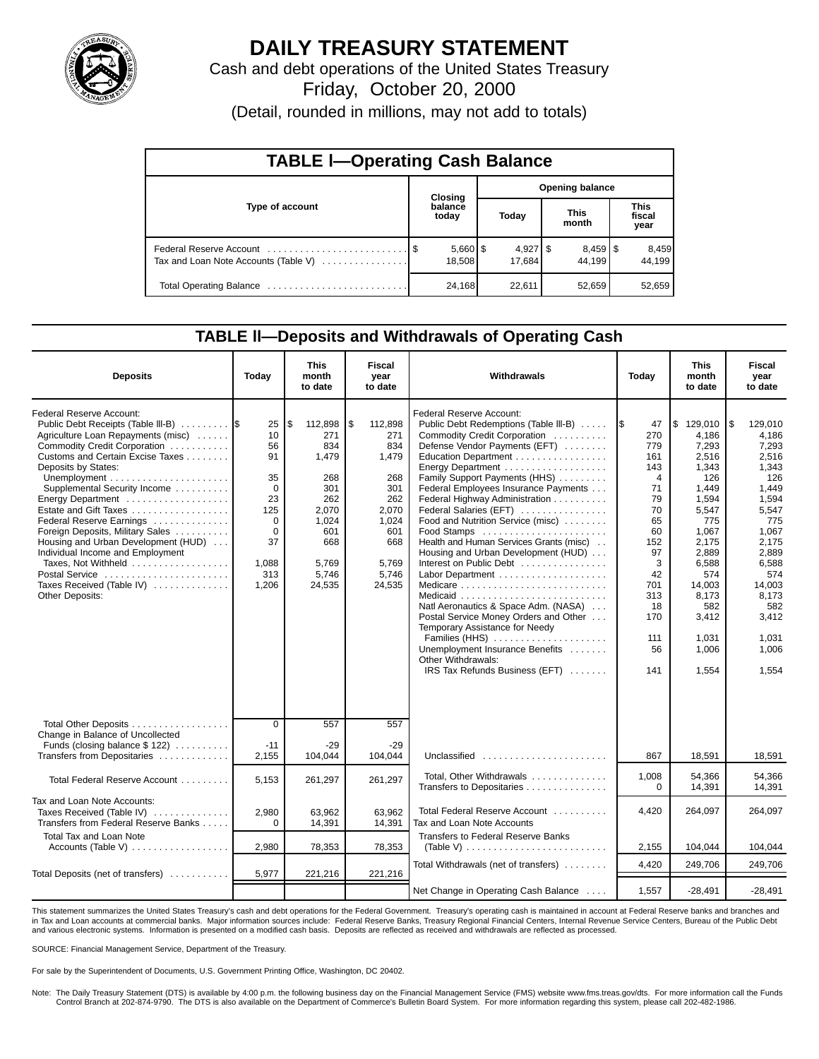

# **DAILY TREASURY STATEMENT**

Cash and debt operations of the United States Treasury

Friday, October 20, 2000

(Detail, rounded in millions, may not add to totals)

| <b>TABLE I-Operating Cash Balance</b> |  |                        |                        |                      |  |                      |  |                               |  |  |
|---------------------------------------|--|------------------------|------------------------|----------------------|--|----------------------|--|-------------------------------|--|--|
|                                       |  | Closing                | <b>Opening balance</b> |                      |  |                      |  |                               |  |  |
| Type of account                       |  | balance<br>today       |                        | Today                |  | <b>This</b><br>month |  | <b>This</b><br>fiscal<br>year |  |  |
| Tax and Loan Note Accounts (Table V)  |  | $5,660$   \$<br>18,508 |                        | $4,927$ \$<br>17.684 |  | 44.199               |  | 8,459<br>44.199               |  |  |
|                                       |  | 24,168                 |                        | 22,611               |  | 52,659               |  | 52,659                        |  |  |

### **TABLE ll—Deposits and Withdrawals of Operating Cash**

| <b>Deposits</b>                                                                                                                                                                                                                                                                                                                                                                                                                                                                                                   | Today                                                                                                      | <b>This</b><br>month<br>to date                                                                                       | <b>Fiscal</b><br>year<br>to date                                                                                     | Withdrawals                                                                                                                                                                                                                                                                                                                                                                                                                                                                                                                                                                                                                                                                                                           | Today                                                                                                                                           | <b>This</b><br>month<br>to date                                                                                                                                                                 | <b>Fiscal</b><br>year<br>to date                                                                                                                                                                     |
|-------------------------------------------------------------------------------------------------------------------------------------------------------------------------------------------------------------------------------------------------------------------------------------------------------------------------------------------------------------------------------------------------------------------------------------------------------------------------------------------------------------------|------------------------------------------------------------------------------------------------------------|-----------------------------------------------------------------------------------------------------------------------|----------------------------------------------------------------------------------------------------------------------|-----------------------------------------------------------------------------------------------------------------------------------------------------------------------------------------------------------------------------------------------------------------------------------------------------------------------------------------------------------------------------------------------------------------------------------------------------------------------------------------------------------------------------------------------------------------------------------------------------------------------------------------------------------------------------------------------------------------------|-------------------------------------------------------------------------------------------------------------------------------------------------|-------------------------------------------------------------------------------------------------------------------------------------------------------------------------------------------------|------------------------------------------------------------------------------------------------------------------------------------------------------------------------------------------------------|
| Federal Reserve Account:<br>Public Debt Receipts (Table III-B)<br>Agriculture Loan Repayments (misc)<br>Commodity Credit Corporation<br>Customs and Certain Excise Taxes<br>Deposits by States:<br>Supplemental Security Income<br>Energy Department<br>Estate and Gift Taxes<br>Federal Reserve Earnings<br>Foreign Deposits, Military Sales<br>Housing and Urban Development (HUD)<br>Individual Income and Employment<br>Taxes, Not Withheld<br>Postal Service<br>Taxes Received (Table IV)<br>Other Deposits: | 25<br>10<br>56<br>91<br>35<br>$\Omega$<br>23<br>125<br>$\Omega$<br>$\Omega$<br>37<br>1,088<br>313<br>1,206 | \$<br>112,898<br>271<br>834<br>1,479<br>268<br>301<br>262<br>2.070<br>1,024<br>601<br>668<br>5,769<br>5,746<br>24,535 | 5<br>112,898<br>271<br>834<br>1,479<br>268<br>301<br>262<br>2.070<br>1,024<br>601<br>668<br>5,769<br>5,746<br>24,535 | Federal Reserve Account:<br>Public Debt Redemptions (Table III-B)<br>Commodity Credit Corporation<br>Defense Vendor Payments (EFT)<br>Education Department<br>Energy Department<br>Family Support Payments (HHS)<br>Federal Employees Insurance Payments<br>Federal Highway Administration<br>Federal Salaries (EFT)<br>Food and Nutrition Service (misc)<br>Food Stamps<br>Health and Human Services Grants (misc)<br>Housing and Urban Development (HUD)<br>Interest on Public Debt<br>Natl Aeronautics & Space Adm. (NASA)<br>Postal Service Money Orders and Other<br>Temporary Assistance for Needy<br>Families (HHS)<br>Unemployment Insurance Benefits<br>Other Withdrawals:<br>IRS Tax Refunds Business (EFT) | 1\$<br>47<br>270<br>779<br>161<br>143<br>4<br>71<br>79<br>70<br>65<br>60<br>152<br>97<br>3<br>42<br>701<br>313<br>18<br>170<br>111<br>56<br>141 | \$129.010<br>4.186<br>7.293<br>2,516<br>1,343<br>126<br>1.449<br>1.594<br>5.547<br>775<br>1,067<br>2,175<br>2,889<br>6,588<br>574<br>14.003<br>8,173<br>582<br>3,412<br>1.031<br>1.006<br>1.554 | l\$<br>129.010<br>4,186<br>7,293<br>2,516<br>1,343<br>126<br>1.449<br>1,594<br>5.547<br>775<br>1,067<br>2,175<br>2,889<br>6,588<br>574<br>14,003<br>8,173<br>582<br>3,412<br>1,031<br>1.006<br>1.554 |
| Total Other Deposits<br>Change in Balance of Uncollected<br>Funds (closing balance $$ 122$ )<br>Transfers from Depositaries                                                                                                                                                                                                                                                                                                                                                                                       | $\Omega$<br>$-11$<br>2,155                                                                                 | 557<br>-29<br>104.044                                                                                                 | 557<br>-29<br>104.044                                                                                                | Unclassified                                                                                                                                                                                                                                                                                                                                                                                                                                                                                                                                                                                                                                                                                                          | 867                                                                                                                                             | 18,591                                                                                                                                                                                          | 18,591                                                                                                                                                                                               |
| Total Federal Reserve Account                                                                                                                                                                                                                                                                                                                                                                                                                                                                                     | 5,153                                                                                                      | 261,297                                                                                                               | 261,297                                                                                                              | Total, Other Withdrawals<br>Transfers to Depositaries                                                                                                                                                                                                                                                                                                                                                                                                                                                                                                                                                                                                                                                                 | 1,008<br>$\Omega$                                                                                                                               | 54,366<br>14,391                                                                                                                                                                                | 54,366<br>14,391                                                                                                                                                                                     |
| Tax and Loan Note Accounts:<br>Taxes Received (Table IV)<br>Transfers from Federal Reserve Banks                                                                                                                                                                                                                                                                                                                                                                                                                  | 2,980<br>$\Omega$                                                                                          | 63.962<br>14,391                                                                                                      | 63,962<br>14,391                                                                                                     | Total Federal Reserve Account<br>Tax and Loan Note Accounts                                                                                                                                                                                                                                                                                                                                                                                                                                                                                                                                                                                                                                                           | 4,420                                                                                                                                           | 264,097                                                                                                                                                                                         | 264,097                                                                                                                                                                                              |
| <b>Total Tax and Loan Note</b><br>Accounts (Table V)                                                                                                                                                                                                                                                                                                                                                                                                                                                              | 2,980                                                                                                      | 78,353                                                                                                                | 78,353                                                                                                               | <b>Transfers to Federal Reserve Banks</b><br>(Table V) $\ldots \ldots \ldots \ldots \ldots \ldots \ldots \ldots$                                                                                                                                                                                                                                                                                                                                                                                                                                                                                                                                                                                                      | 2,155                                                                                                                                           | 104,044                                                                                                                                                                                         | 104,044                                                                                                                                                                                              |
| Total Deposits (net of transfers)                                                                                                                                                                                                                                                                                                                                                                                                                                                                                 | 5,977                                                                                                      | 221,216                                                                                                               | 221,216                                                                                                              | Total Withdrawals (net of transfers)                                                                                                                                                                                                                                                                                                                                                                                                                                                                                                                                                                                                                                                                                  | 4,420                                                                                                                                           | 249,706                                                                                                                                                                                         | 249,706                                                                                                                                                                                              |
|                                                                                                                                                                                                                                                                                                                                                                                                                                                                                                                   |                                                                                                            |                                                                                                                       |                                                                                                                      | Net Change in Operating Cash Balance                                                                                                                                                                                                                                                                                                                                                                                                                                                                                                                                                                                                                                                                                  | 1,557                                                                                                                                           | $-28,491$                                                                                                                                                                                       | $-28,491$                                                                                                                                                                                            |

This statement summarizes the United States Treasury's cash and debt operations for the Federal Government. Treasury's operating cash is maintained in account at Federal Reserve banks and branches and in Tax and Loan accounts at commercial banks. Major information sources include: Federal Reserve Banks, Treasury Regional Financial Centers, Internal Revenue Service Centers, Bureau of the Public Debt and various electronic systems. Information is presented on a modified cash basis. Deposits are reflected as received and withdrawals are reflected as processed.

SOURCE: Financial Management Service, Department of the Treasury.

For sale by the Superintendent of Documents, U.S. Government Printing Office, Washington, DC 20402.

Note: The Daily Treasury Statement (DTS) is available by 4:00 p.m. the following business day on the Financial Management Service (FMS) website www.fms.treas.gov/dts. For more information call the Funds Control Branch at 202-874-9790. The DTS is also available on the Department of Commerce's Bulletin Board System. For more information regarding this system, please call 202-482-1986.